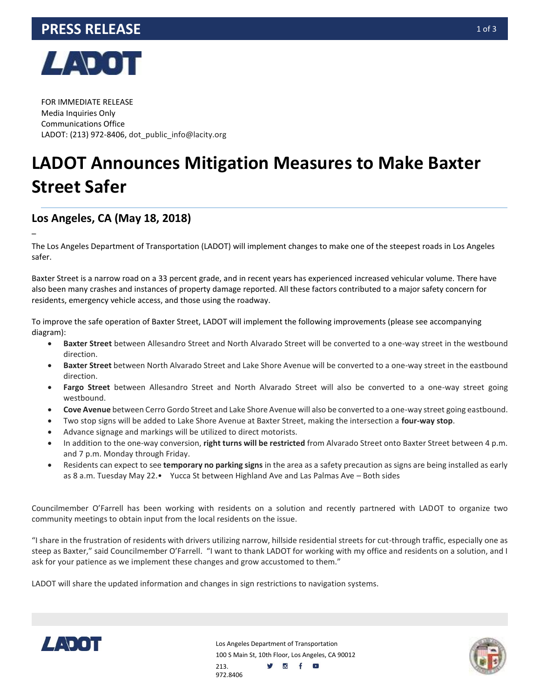



FOR IMMEDIATE RELEASE Media Inquiries Only Communications Office LADOT: (213) 972-8406, dot public info@lacity.org

## **LADOT Announces Mitigation Measures to Make Baxter Street Safer**

## **Los Angeles, CA (May 18, 2018)**

–

The Los Angeles Department of Transportation (LADOT) will implement changes to make one of the steepest roads in Los Angeles safer.

Baxter Street is a narrow road on a 33 percent grade, and in recent years has experienced increased vehicular volume. There have also been many crashes and instances of property damage reported. All these factors contributed to a major safety concern for residents, emergency vehicle access, and those using the roadway.

To improve the safe operation of Baxter Street, LADOT will implement the following improvements (please see accompanying diagram):

- **Baxter Street** between Allesandro Street and North Alvarado Street will be converted to a one-way street in the westbound direction.
- **Baxter Street** between North Alvarado Street and Lake Shore Avenue will be converted to a one-way street in the eastbound direction.
- **Fargo Street** between Allesandro Street and North Alvarado Street will also be converted to a one-way street going westbound.
- **Cove Avenue** between Cerro Gordo Street and Lake Shore Avenue will also be converted to a one-way street going eastbound.
- Two stop signs will be added to Lake Shore Avenue at Baxter Street, making the intersection a **four-way stop**.
- Advance signage and markings will be utilized to direct motorists.
- In addition to the one-way conversion, **right turns will be restricted** from Alvarado Street onto Baxter Street between 4 p.m. and 7 p.m. Monday through Friday.
- Residents can expect to see **temporary no parking signs** in the area as a safety precaution as signs are being installed as early as 8 a.m. Tuesday May 22.• Yucca St between Highland Ave and Las Palmas Ave – Both sides

Councilmember O'Farrell has been working with residents on a solution and recently partnered with LADOT to organize two community meetings to obtain input from the local residents on the issue.

"I share in the frustration of residents with drivers utilizing narrow, hillside residential streets for cut-through traffic, especially one as steep as Baxter," said Councilmember O'Farrell. "I want to thank LADOT for working with my office and residents on a solution, and I ask for your patience as we implement these changes and grow accustomed to them."

LADOT will share the updated information and changes in sign restrictions to navigation systems.



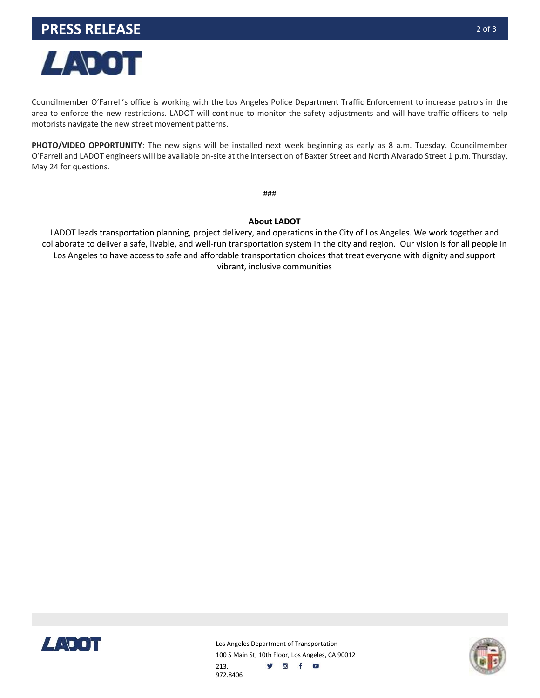

Councilmember O'Farrell's office is working with the Los Angeles Police Department Traffic Enforcement to increase patrols in the area to enforce the new restrictions. LADOT will continue to monitor the safety adjustments and will have traffic officers to help motorists navigate the new street movement patterns.

**PHOTO/VIDEO OPPORTUNITY**: The new signs will be installed next week beginning as early as 8 a.m. Tuesday. Councilmember O'Farrell and LADOT engineers will be available on-site at the intersection of Baxter Street and North Alvarado Street 1 p.m. Thursday, May 24 for questions.

###

## **About LADOT**

LADOT leads transportation planning, project delivery, and operations in the City of Los Angeles. We work together and collaborate to deliver a safe, livable, and well-run transportation system in the city and region. Our vision is for all people in Los Angeles to have access to safe and affordable transportation choices that treat everyone with dignity and support vibrant, inclusive communities



Los Angeles Department of Transportation 100 S Main St, 10th Floor, Los Angeles, CA 90012 213. **y** of o 972.8406